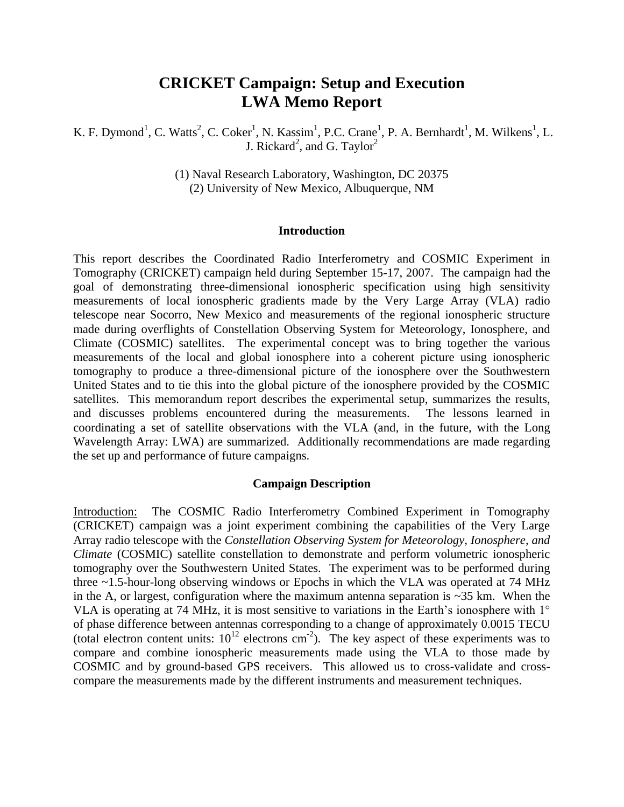# **CRICKET Campaign: Setup and Execution LWA Memo Report**

K. F. Dymond<sup>1</sup>, C. Watts<sup>2</sup>, C. Coker<sup>1</sup>, N. Kassim<sup>1</sup>, P.C. Crane<sup>1</sup>, P. A. Bernhardt<sup>1</sup>, M. Wilkens<sup>1</sup>, L. J. Rickard<sup>2</sup>, and G. Taylor<sup>2</sup>

> (1) Naval Research Laboratory, Washington, DC 20375 (2) University of New Mexico, Albuquerque, NM

### **Introduction**

This report describes the Coordinated Radio Interferometry and COSMIC Experiment in Tomography (CRICKET) campaign held during September 15-17, 2007. The campaign had the goal of demonstrating three-dimensional ionospheric specification using high sensitivity measurements of local ionospheric gradients made by the Very Large Array (VLA) radio telescope near Socorro, New Mexico and measurements of the regional ionospheric structure made during overflights of Constellation Observing System for Meteorology, Ionosphere, and Climate (COSMIC) satellites. The experimental concept was to bring together the various measurements of the local and global ionosphere into a coherent picture using ionospheric tomography to produce a three-dimensional picture of the ionosphere over the Southwestern United States and to tie this into the global picture of the ionosphere provided by the COSMIC satellites. This memorandum report describes the experimental setup, summarizes the results, and discusses problems encountered during the measurements. The lessons learned in coordinating a set of satellite observations with the VLA (and, in the future, with the Long Wavelength Array: LWA) are summarized. Additionally recommendations are made regarding the set up and performance of future campaigns.

### **Campaign Description**

Introduction: The COSMIC Radio Interferometry Combined Experiment in Tomography (CRICKET) campaign was a joint experiment combining the capabilities of the Very Large Array radio telescope with the *Constellation Observing System for Meteorology, Ionosphere, and Climate* (COSMIC) satellite constellation to demonstrate and perform volumetric ionospheric tomography over the Southwestern United States. The experiment was to be performed during three ~1.5-hour-long observing windows or Epochs in which the VLA was operated at 74 MHz in the A, or largest, configuration where the maximum antenna separation is  $\sim$ 35 km. When the VLA is operating at 74 MHz, it is most sensitive to variations in the Earth's ionosphere with  $1^{\circ}$ of phase difference between antennas corresponding to a change of approximately 0.0015 TECU (total electron content units:  $10^{12}$  electrons cm<sup>-2</sup>). The key aspect of these experiments was to compare and combine ionospheric measurements made using the VLA to those made by COSMIC and by ground-based GPS receivers. This allowed us to cross-validate and crosscompare the measurements made by the different instruments and measurement techniques.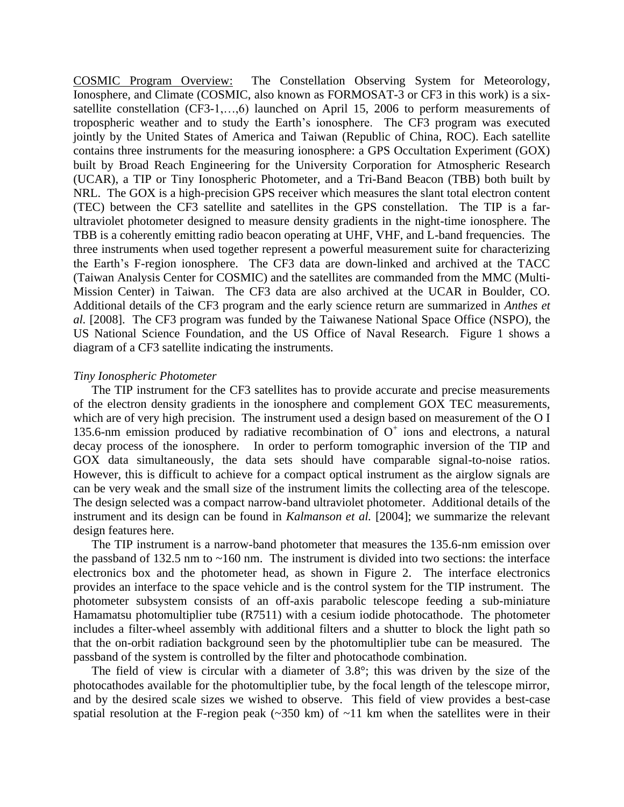COSMIC Program Overview: The Constellation Observing System for Meteorology, Ionosphere, and Climate (COSMIC, also known as FORMOSAT-3 or CF3 in this work) is a sixsatellite constellation (CF3-1,…,6) launched on April 15, 2006 to perform measurements of tropospheric weather and to study the Earth's ionosphere. The CF3 program was executed jointly by the United States of America and Taiwan (Republic of China, ROC). Each satellite contains three instruments for the measuring ionosphere: a GPS Occultation Experiment (GOX) built by Broad Reach Engineering for the University Corporation for Atmospheric Research (UCAR), a TIP or Tiny Ionospheric Photometer, and a Tri-Band Beacon (TBB) both built by NRL. The GOX is a high-precision GPS receiver which measures the slant total electron content (TEC) between the CF3 satellite and satellites in the GPS constellation. The TIP is a farultraviolet photometer designed to measure density gradients in the night-time ionosphere. The TBB is a coherently emitting radio beacon operating at UHF, VHF, and L-band frequencies. The three instruments when used together represent a powerful measurement suite for characterizing the Earth's F-region ionosphere. The CF3 data are down-linked and archived at the TACC (Taiwan Analysis Center for COSMIC) and the satellites are commanded from the MMC (Multi-Mission Center) in Taiwan. The CF3 data are also archived at the UCAR in Boulder, CO. Additional details of the CF3 program and the early science return are summarized in *Anthes et al.* [2008]. The CF3 program was funded by the Taiwanese National Space Office (NSPO), the US National Science Foundation, and the US Office of Naval Research. Figure 1 shows a diagram of a CF3 satellite indicating the instruments.

### *Tiny Ionospheric Photometer*

The TIP instrument for the CF3 satellites has to provide accurate and precise measurements of the electron density gradients in the ionosphere and complement GOX TEC measurements, which are of very high precision. The instrument used a design based on measurement of the O I 135.6-nm emission produced by radiative recombination of  $O<sup>+</sup>$  ions and electrons, a natural decay process of the ionosphere. In order to perform tomographic inversion of the TIP and GOX data simultaneously, the data sets should have comparable signal-to-noise ratios. However, this is difficult to achieve for a compact optical instrument as the airglow signals are can be very weak and the small size of the instrument limits the collecting area of the telescope. The design selected was a compact narrow-band ultraviolet photometer. Additional details of the instrument and its design can be found in *Kalmanson et al.* [2004]; we summarize the relevant design features here.

The TIP instrument is a narrow-band photometer that measures the 135.6-nm emission over the passband of 132.5 nm to  $\sim$ 160 nm. The instrument is divided into two sections: the interface electronics box and the photometer head, as shown in Figure 2. The interface electronics provides an interface to the space vehicle and is the control system for the TIP instrument. The photometer subsystem consists of an off-axis parabolic telescope feeding a sub-miniature Hamamatsu photomultiplier tube (R7511) with a cesium iodide photocathode. The photometer includes a filter-wheel assembly with additional filters and a shutter to block the light path so that the on-orbit radiation background seen by the photomultiplier tube can be measured. The passband of the system is controlled by the filter and photocathode combination.

The field of view is circular with a diameter of  $3.8^{\circ}$ ; this was driven by the size of the photocathodes available for the photomultiplier tube, by the focal length of the telescope mirror, and by the desired scale sizes we wished to observe. This field of view provides a best-case spatial resolution at the F-region peak  $(\sim 350 \text{ km})$  of  $\sim 11 \text{ km}$  when the satellites were in their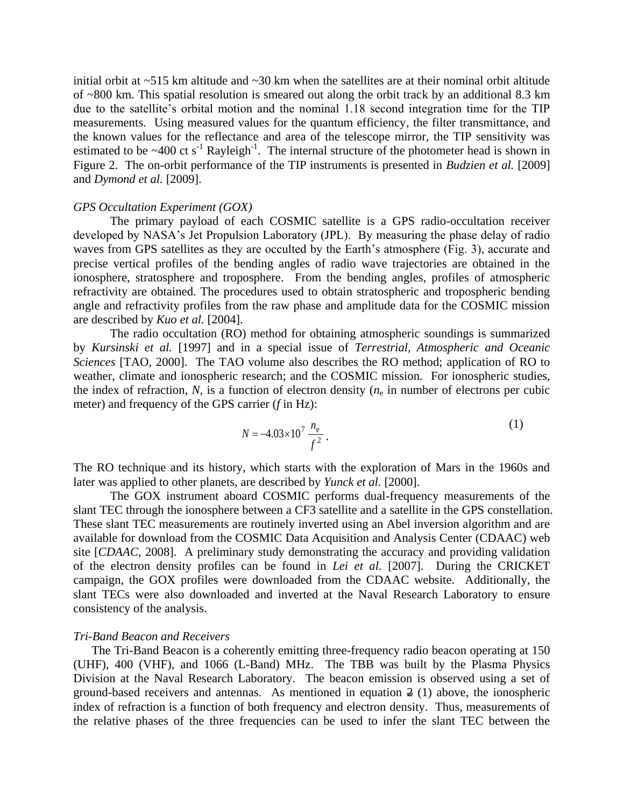initial orbit at  $\sim$ 515 km altitude and  $\sim$ 30 km when the satellites are at their nominal orbit altitude of ~800 km. This spatial resolution is smeared out along the orbit track by an additional 8.3 km due to the satellite's orbital motion and the nominal 1.18 second integration time for the TIP measurements. Using measured values for the quantum efficiency, the filter transmittance, and the known values for the reflectance and area of the telescope mirror, the TIP sensitivity was estimated to be  $\sim$ 400 ct s<sup>-1</sup> Rayleigh<sup>-1</sup>. The internal structure of the photometer head is shown in Figure 2. The on-orbit performance of the TIP instruments is presented in *Budzien et al.* [2009] and *Dymond et al.* [2009].

### *GPS Occultation Experiment (GOX)*

The primary payload of each COSMIC satellite is a GPS radio-occultation receiver developed by NASA's Jet Propulsion Laboratory (JPL). By measuring the phase delay of radio waves from GPS satellites as they are occulted by the Earth's atmosphere (Fig. 3), accurate and precise vertical profiles of the bending angles of radio wave trajectories are obtained in the ionosphere, stratosphere and troposphere. From the bending angles, profiles of atmospheric refractivity are obtained. The procedures used to obtain stratospheric and tropospheric bending angle and refractivity profiles from the raw phase and amplitude data for the COSMIC mission are described by *Kuo et al.* [2004].

The radio occultation (RO) method for obtaining atmospheric soundings is summarized by *Kursinski et al.* [1997] and in a special issue of *Terrestrial, Atmospheric and Oceanic Sciences* [TAO, 2000]. The TAO volume also describes the RO method; application of RO to weather, climate and ionospheric research; and the COSMIC mission. For ionospheric studies, the index of refraction,  $N$ , is a function of electron density  $(n_e$  in number of electrons per cubic meter) and frequency of the GPS carrier (*f* in Hz):

$$
N = -4.03 \times 10^7 \frac{n_e}{f^2} \,. \tag{1}
$$

The RO technique and its history, which starts with the exploration of Mars in the 1960s and later was applied to other planets, are described by *Yunck et al.* [2000].

The GOX instrument aboard COSMIC performs dual-frequency measurements of the slant TEC through the ionosphere between a CF3 satellite and a satellite in the GPS constellation. These slant TEC measurements are routinely inverted using an Abel inversion algorithm and are available for download from the COSMIC Data Acquisition and Analysis Center (CDAAC) web site [*CDAAC*, 2008]. A preliminary study demonstrating the accuracy and providing validation of the electron density profiles can be found in *Lei et al.* [2007]. During the CRICKET campaign, the GOX profiles were downloaded from the CDAAC website. Additionally, the slant TECs were also downloaded and inverted at the Naval Research Laboratory to ensure consistency of the analysis.

#### *Tri-Band Beacon and Receivers*

The Tri-Band Beacon is a coherently emitting three-frequency radio beacon operating at 150 (UHF), 400 (VHF), and 1066 (L-Band) MHz. The TBB was built by the Plasma Physics Division at the Naval Research Laboratory. The beacon emission is observed using a set of ground-based receivers and antennas. As mentioned in equation  $\frac{3}{2}$  (1) above, the ionospheric index of refraction is a function of both frequency and electron density. Thus, measurements of the relative phases of the three frequencies can be used to infer the slant TEC between the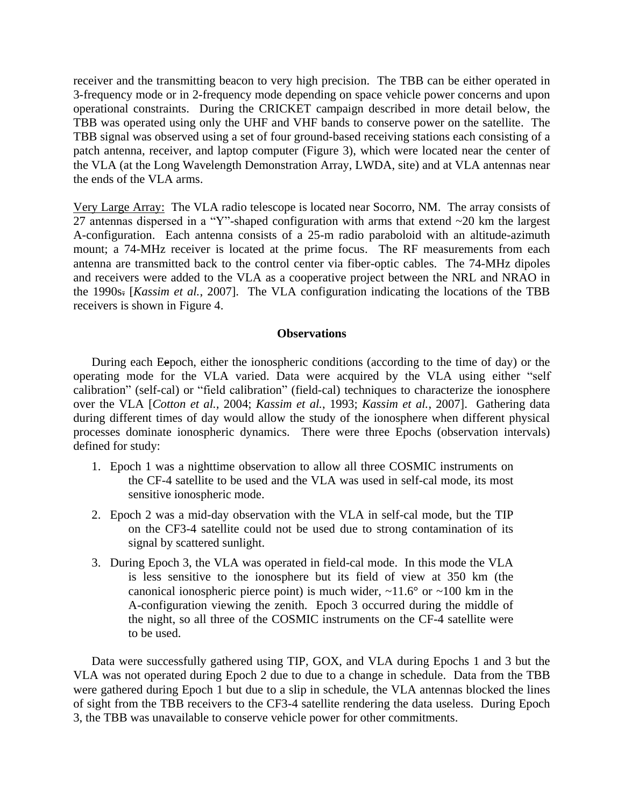receiver and the transmitting beacon to very high precision. The TBB can be either operated in 3-frequency mode or in 2-frequency mode depending on space vehicle power concerns and upon operational constraints. During the CRICKET campaign described in more detail below, the TBB was operated using only the UHF and VHF bands to conserve power on the satellite. The TBB signal was observed using a set of four ground-based receiving stations each consisting of a patch antenna, receiver, and laptop computer (Figure 3), which were located near the center of the VLA (at the Long Wavelength Demonstration Array, LWDA, site) and at VLA antennas near the ends of the VLA arms.

Very Large Array: The VLA radio telescope is located near Socorro, NM. The array consists of 27 antennas dispersed in a "Y"-shaped configuration with arms that extend ~20 km the largest A-configuration. Each antenna consists of a 25-m radio paraboloid with an altitude-azimuth mount; a 74-MHz receiver is located at the prime focus. The RF measurements from each antenna are transmitted back to the control center via fiber-optic cables. The 74-MHz dipoles and receivers were added to the VLA as a cooperative project between the NRL and NRAO in the 1990s. [*Kassim et al.*, 2007]. The VLA configuration indicating the locations of the TBB receivers is shown in Figure 4.

### **Observations**

During each Eepoch, either the ionospheric conditions (according to the time of day) or the operating mode for the VLA varied. Data were acquired by the VLA using either "self calibration" (self-cal) or "field calibration" (field-cal) techniques to characterize the ionosphere over the VLA [*Cotton et al.,* 2004; *Kassim et al.*, 1993; *Kassim et al.*, 2007]. Gathering data during different times of day would allow the study of the ionosphere when different physical processes dominate ionospheric dynamics. There were three Epochs (observation intervals) defined for study:

- 1. Epoch 1 was a nighttime observation to allow all three COSMIC instruments on the CF-4 satellite to be used and the VLA was used in self-cal mode, its most sensitive ionospheric mode.
- 2. Epoch 2 was a mid-day observation with the VLA in self-cal mode, but the TIP on the CF3-4 satellite could not be used due to strong contamination of its signal by scattered sunlight.
- 3. During Epoch 3, the VLA was operated in field-cal mode. In this mode the VLA is less sensitive to the ionosphere but its field of view at 350 km (the canonical ionospheric pierce point) is much wider,  $\sim$ 11.6 $\degree$  or  $\sim$ 100 km in the A-configuration viewing the zenith. Epoch 3 occurred during the middle of the night, so all three of the COSMIC instruments on the CF-4 satellite were to be used.

Data were successfully gathered using TIP, GOX, and VLA during Epochs 1 and 3 but the VLA was not operated during Epoch 2 due to due to a change in schedule. Data from the TBB were gathered during Epoch 1 but due to a slip in schedule, the VLA antennas blocked the lines of sight from the TBB receivers to the CF3-4 satellite rendering the data useless. During Epoch 3, the TBB was unavailable to conserve vehicle power for other commitments.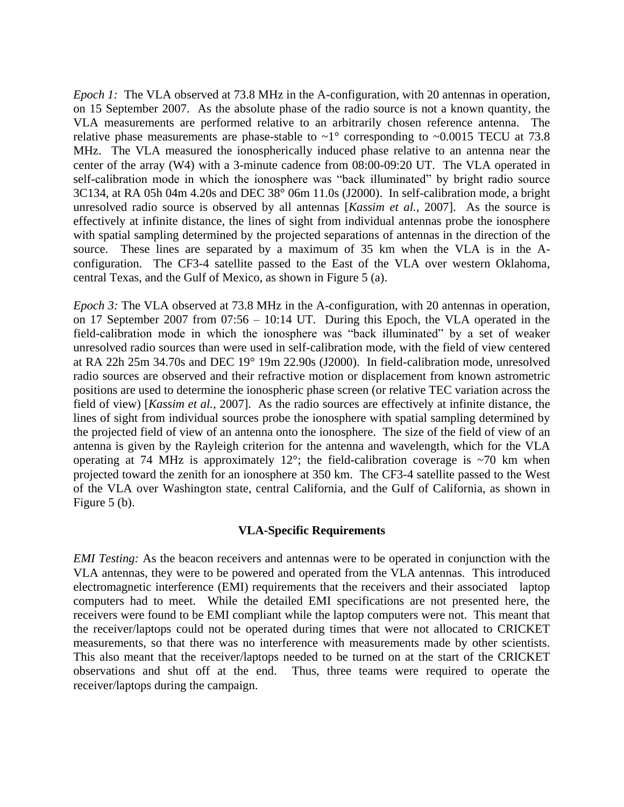*Epoch 1:* The VLA observed at 73.8 MHz in the A-configuration, with 20 antennas in operation, on 15 September 2007. As the absolute phase of the radio source is not a known quantity, the VLA measurements are performed relative to an arbitrarily chosen reference antenna. The relative phase measurements are phase-stable to  $\sim$ 1° corresponding to  $\sim$ 0.0015 TECU at 73.8 MHz. The VLA measured the ionospherically induced phase relative to an antenna near the center of the array (W4) with a 3-minute cadence from 08:00-09:20 UT. The VLA operated in self-calibration mode in which the ionosphere was "back illuminated" by bright radio source 3C134, at RA 05h 04m 4.20s and DEC 38° 06m 11.0s (J2000). In self-calibration mode, a bright unresolved radio source is observed by all antennas [*Kassim et al.,* 2007]. As the source is effectively at infinite distance, the lines of sight from individual antennas probe the ionosphere with spatial sampling determined by the projected separations of antennas in the direction of the source. These lines are separated by a maximum of 35 km when the VLA is in the Aconfiguration. The CF3-4 satellite passed to the East of the VLA over western Oklahoma, central Texas, and the Gulf of Mexico, as shown in Figure 5 (a).

*Epoch 3:* The VLA observed at 73.8 MHz in the A-configuration, with 20 antennas in operation, on 17 September 2007 from 07:56 – 10:14 UT. During this Epoch, the VLA operated in the field-calibration mode in which the ionosphere was "back illuminated" by a set of weaker unresolved radio sources than were used in self-calibration mode, with the field of view centered at RA 22h 25m 34.70s and DEC 19° 19m 22.90s (J2000). In field-calibration mode, unresolved radio sources are observed and their refractive motion or displacement from known astrometric positions are used to determine the ionospheric phase screen (or relative TEC variation across the field of view) [*Kassim et al.,* 2007]. As the radio sources are effectively at infinite distance, the lines of sight from individual sources probe the ionosphere with spatial sampling determined by the projected field of view of an antenna onto the ionosphere. The size of the field of view of an antenna is given by the Rayleigh criterion for the antenna and wavelength, which for the VLA operating at 74 MHz is approximately 12°; the field-calibration coverage is  $\sim$ 70 km when projected toward the zenith for an ionosphere at 350 km. The CF3-4 satellite passed to the West of the VLA over Washington state, central California, and the Gulf of California, as shown in Figure 5 (b).

# **VLA-Specific Requirements**

*EMI Testing:* As the beacon receivers and antennas were to be operated in conjunction with the VLA antennas, they were to be powered and operated from the VLA antennas. This introduced electromagnetic interference (EMI) requirements that the receivers and their associated laptop computers had to meet. While the detailed EMI specifications are not presented here, the receivers were found to be EMI compliant while the laptop computers were not. This meant that the receiver/laptops could not be operated during times that were not allocated to CRICKET measurements, so that there was no interference with measurements made by other scientists. This also meant that the receiver/laptops needed to be turned on at the start of the CRICKET observations and shut off at the end. Thus, three teams were required to operate the receiver/laptops during the campaign.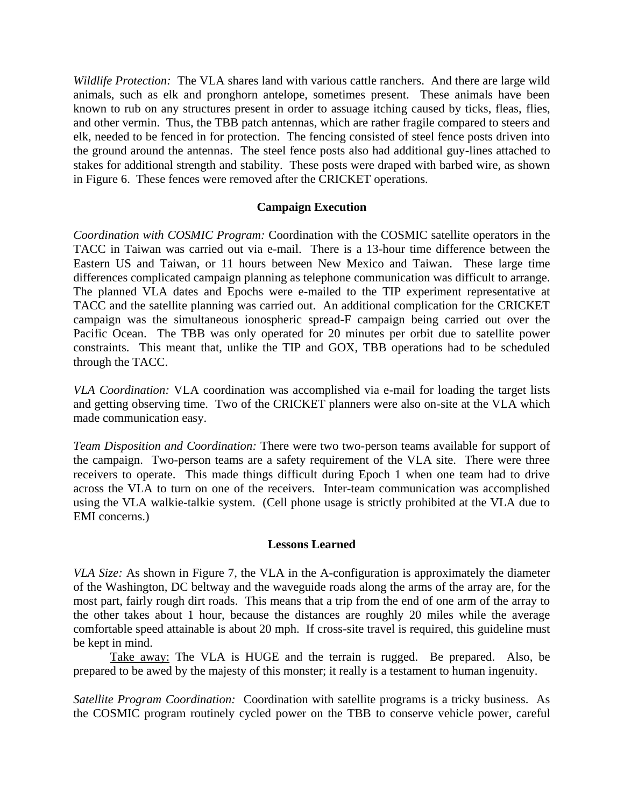*Wildlife Protection:* The VLA shares land with various cattle ranchers. And there are large wild animals, such as elk and pronghorn antelope, sometimes present. These animals have been known to rub on any structures present in order to assuage itching caused by ticks, fleas, flies, and other vermin. Thus, the TBB patch antennas, which are rather fragile compared to steers and elk, needed to be fenced in for protection. The fencing consisted of steel fence posts driven into the ground around the antennas. The steel fence posts also had additional guy-lines attached to stakes for additional strength and stability. These posts were draped with barbed wire, as shown in Figure 6. These fences were removed after the CRICKET operations.

# **Campaign Execution**

*Coordination with COSMIC Program:* Coordination with the COSMIC satellite operators in the TACC in Taiwan was carried out via e-mail. There is a 13-hour time difference between the Eastern US and Taiwan, or 11 hours between New Mexico and Taiwan. These large time differences complicated campaign planning as telephone communication was difficult to arrange. The planned VLA dates and Epochs were e-mailed to the TIP experiment representative at TACC and the satellite planning was carried out. An additional complication for the CRICKET campaign was the simultaneous ionospheric spread-F campaign being carried out over the Pacific Ocean. The TBB was only operated for 20 minutes per orbit due to satellite power constraints. This meant that, unlike the TIP and GOX, TBB operations had to be scheduled through the TACC.

*VLA Coordination:* VLA coordination was accomplished via e-mail for loading the target lists and getting observing time. Two of the CRICKET planners were also on-site at the VLA which made communication easy.

*Team Disposition and Coordination:* There were two two-person teams available for support of the campaign. Two-person teams are a safety requirement of the VLA site. There were three receivers to operate. This made things difficult during Epoch 1 when one team had to drive across the VLA to turn on one of the receivers. Inter-team communication was accomplished using the VLA walkie-talkie system. (Cell phone usage is strictly prohibited at the VLA due to EMI concerns.)

### **Lessons Learned**

*VLA Size:* As shown in Figure 7, the VLA in the A-configuration is approximately the diameter of the Washington, DC beltway and the waveguide roads along the arms of the array are, for the most part, fairly rough dirt roads. This means that a trip from the end of one arm of the array to the other takes about 1 hour, because the distances are roughly 20 miles while the average comfortable speed attainable is about 20 mph. If cross-site travel is required, this guideline must be kept in mind.

Take away: The VLA is HUGE and the terrain is rugged. Be prepared. Also, be prepared to be awed by the majesty of this monster; it really is a testament to human ingenuity.

*Satellite Program Coordination:* Coordination with satellite programs is a tricky business. As the COSMIC program routinely cycled power on the TBB to conserve vehicle power, careful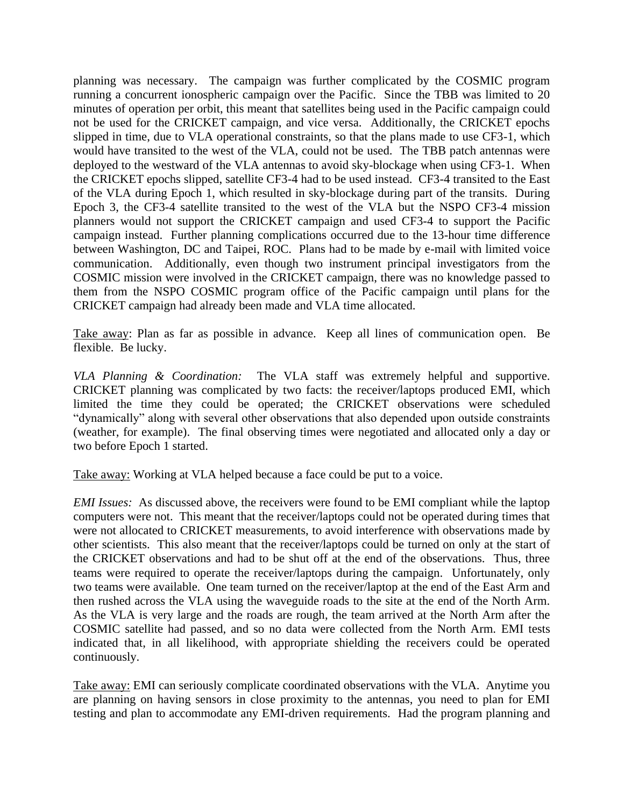planning was necessary. The campaign was further complicated by the COSMIC program running a concurrent ionospheric campaign over the Pacific. Since the TBB was limited to 20 minutes of operation per orbit, this meant that satellites being used in the Pacific campaign could not be used for the CRICKET campaign, and vice versa. Additionally, the CRICKET epochs slipped in time, due to VLA operational constraints, so that the plans made to use CF3-1, which would have transited to the west of the VLA, could not be used. The TBB patch antennas were deployed to the westward of the VLA antennas to avoid sky-blockage when using CF3-1. When the CRICKET epochs slipped, satellite CF3-4 had to be used instead. CF3-4 transited to the East of the VLA during Epoch 1, which resulted in sky-blockage during part of the transits. During Epoch 3, the CF3-4 satellite transited to the west of the VLA but the NSPO CF3-4 mission planners would not support the CRICKET campaign and used CF3-4 to support the Pacific campaign instead. Further planning complications occurred due to the 13-hour time difference between Washington, DC and Taipei, ROC. Plans had to be made by e-mail with limited voice communication. Additionally, even though two instrument principal investigators from the COSMIC mission were involved in the CRICKET campaign, there was no knowledge passed to them from the NSPO COSMIC program office of the Pacific campaign until plans for the CRICKET campaign had already been made and VLA time allocated.

Take away: Plan as far as possible in advance. Keep all lines of communication open. Be flexible. Be lucky.

*VLA Planning & Coordination:* The VLA staff was extremely helpful and supportive. CRICKET planning was complicated by two facts: the receiver/laptops produced EMI, which limited the time they could be operated; the CRICKET observations were scheduled "dynamically" along with several other observations that also depended upon outside constraints (weather, for example). The final observing times were negotiated and allocated only a day or two before Epoch 1 started.

Take away: Working at VLA helped because a face could be put to a voice.

*EMI Issues:* As discussed above, the receivers were found to be EMI compliant while the laptop computers were not. This meant that the receiver/laptops could not be operated during times that were not allocated to CRICKET measurements, to avoid interference with observations made by other scientists. This also meant that the receiver/laptops could be turned on only at the start of the CRICKET observations and had to be shut off at the end of the observations. Thus, three teams were required to operate the receiver/laptops during the campaign. Unfortunately, only two teams were available. One team turned on the receiver/laptop at the end of the East Arm and then rushed across the VLA using the waveguide roads to the site at the end of the North Arm. As the VLA is very large and the roads are rough, the team arrived at the North Arm after the COSMIC satellite had passed, and so no data were collected from the North Arm. EMI tests indicated that, in all likelihood, with appropriate shielding the receivers could be operated continuously.

Take away: EMI can seriously complicate coordinated observations with the VLA. Anytime you are planning on having sensors in close proximity to the antennas, you need to plan for EMI testing and plan to accommodate any EMI-driven requirements. Had the program planning and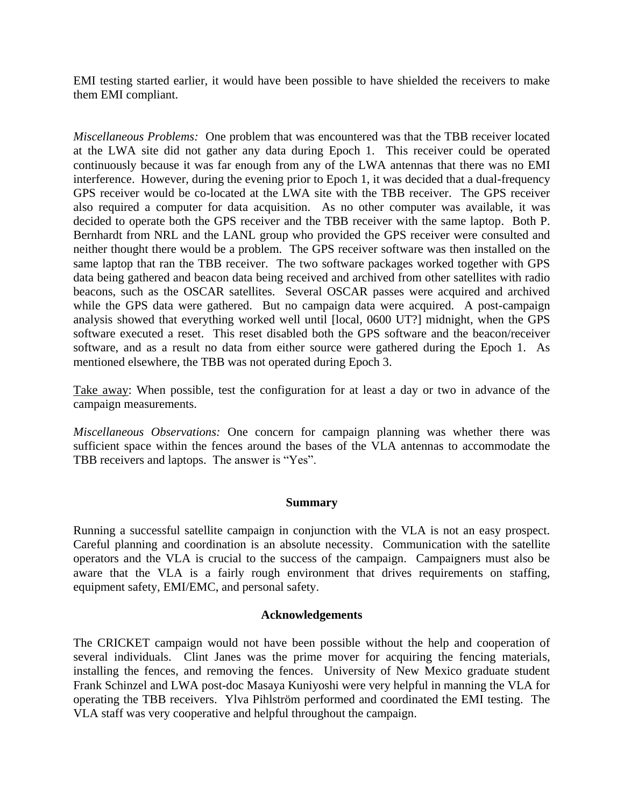EMI testing started earlier, it would have been possible to have shielded the receivers to make them EMI compliant.

*Miscellaneous Problems:* One problem that was encountered was that the TBB receiver located at the LWA site did not gather any data during Epoch 1. This receiver could be operated continuously because it was far enough from any of the LWA antennas that there was no EMI interference. However, during the evening prior to Epoch 1, it was decided that a dual-frequency GPS receiver would be co-located at the LWA site with the TBB receiver. The GPS receiver also required a computer for data acquisition. As no other computer was available, it was decided to operate both the GPS receiver and the TBB receiver with the same laptop. Both P. Bernhardt from NRL and the LANL group who provided the GPS receiver were consulted and neither thought there would be a problem. The GPS receiver software was then installed on the same laptop that ran the TBB receiver. The two software packages worked together with GPS data being gathered and beacon data being received and archived from other satellites with radio beacons, such as the OSCAR satellites. Several OSCAR passes were acquired and archived while the GPS data were gathered. But no campaign data were acquired. A post-campaign analysis showed that everything worked well until [local, 0600 UT?] midnight, when the GPS software executed a reset. This reset disabled both the GPS software and the beacon/receiver software, and as a result no data from either source were gathered during the Epoch 1. As mentioned elsewhere, the TBB was not operated during Epoch 3.

Take away: When possible, test the configuration for at least a day or two in advance of the campaign measurements.

*Miscellaneous Observations:* One concern for campaign planning was whether there was sufficient space within the fences around the bases of the VLA antennas to accommodate the TBB receivers and laptops. The answer is "Yes".

### **Summary**

Running a successful satellite campaign in conjunction with the VLA is not an easy prospect. Careful planning and coordination is an absolute necessity. Communication with the satellite operators and the VLA is crucial to the success of the campaign. Campaigners must also be aware that the VLA is a fairly rough environment that drives requirements on staffing, equipment safety, EMI/EMC, and personal safety.

### **Acknowledgements**

The CRICKET campaign would not have been possible without the help and cooperation of several individuals. Clint Janes was the prime mover for acquiring the fencing materials, installing the fences, and removing the fences. University of New Mexico graduate student Frank Schinzel and LWA post-doc Masaya Kuniyoshi were very helpful in manning the VLA for operating the TBB receivers. Ylva Pihlström performed and coordinated the EMI testing. The VLA staff was very cooperative and helpful throughout the campaign.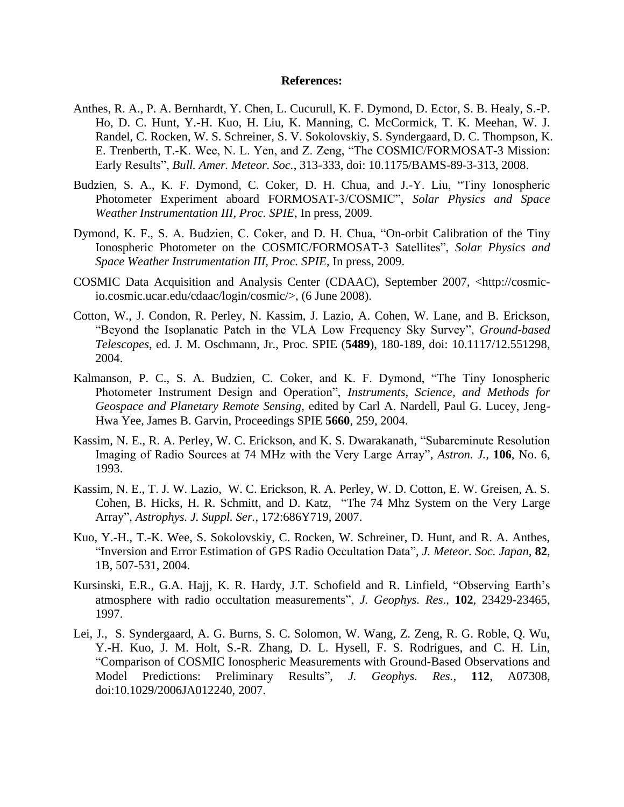#### **References:**

- Anthes, R. A., P. A. Bernhardt, Y. Chen, L. Cucurull, K. F. Dymond, D. Ector, S. B. Healy, S.-P. Ho, D. C. Hunt, Y.-H. Kuo, H. Liu, K. Manning, C. McCormick, T. K. Meehan, W. J. Randel, C. Rocken, W. S. Schreiner, S. V. Sokolovskiy, S. Syndergaard, D. C. Thompson, K. E. Trenberth, T.-K. Wee, N. L. Yen, and Z. Zeng, "The COSMIC/FORMOSAT-3 Mission: Early Results", *Bull. Amer. Meteor. Soc.*, 313-333, doi: 10.1175/BAMS-89-3-313, 2008.
- Budzien, S. A., K. F. Dymond, C. Coker, D. H. Chua, and J.-Y. Liu, "Tiny Ionospheric Photometer Experiment aboard FORMOSAT-3/COSMIC", *Solar Physics and Space Weather Instrumentation III, Proc. SPIE*, In press, 2009.
- Dymond, K. F., S. A. Budzien, C. Coker, and D. H. Chua, "On-orbit Calibration of the Tiny Ionospheric Photometer on the COSMIC/FORMOSAT-3 Satellites", *Solar Physics and Space Weather Instrumentation III, Proc. SPIE*, In press, 2009.
- COSMIC Data Acquisition and Analysis Center (CDAAC), September 2007, <http://cosmicio.cosmic.ucar.edu/cdaac/login/cosmic/>, (6 June 2008).
- Cotton, W., J. Condon, R. Perley, N. Kassim, J. Lazio, A. Cohen, W. Lane, and B. Erickson, "Beyond the Isoplanatic Patch in the VLA Low Frequency Sky Survey", *Ground-based Telescopes*, ed. J. M. Oschmann, Jr., Proc. SPIE (**5489**), 180-189, doi: 10.1117/12.551298, 2004.
- [Kalmanson,](http://spiedl.aip.org/vsearch/servlet/VerityServlet?KEY=SPIEDL&possible1=Kalmanson%2C+Phillip+C.&possible1zone=author&maxdisp=25&smode=strresults&aqs=true) P. C., S. A. Budzien, C. [Coker,](http://spiedl.aip.org/vsearch/servlet/VerityServlet?KEY=SPIEDL&possible1=Coker%2C+Clayton&possible1zone=author&maxdisp=25&smode=strresults&aqs=true) and K. F. Dymond, "The Tiny Ionospheric Photometer Instrument Design and Operation", *Instruments, Science, and Methods for Geospace and Planetary Remote Sensing*, edited by Carl A. Nardell, Paul G. Lucey, Jeng-Hwa Yee, James B. Garvin, Proceedings SPIE **5660**, 259, 2004.
- Kassim, N. E., R. A. Perley, W. C. Erickson, and K. S. Dwarakanath, "Subarcminute Resolution Imaging of Radio Sources at 74 MHz with the Very Large Array", *Astron. J.,* **106**, No. 6, 1993.
- Kassim, N. E., T. J. W. Lazio, W. C. Erickson, R. A. Perley, W. D. Cotton, E. W. Greisen, A. S. Cohen, B. Hicks, H. R. Schmitt, and D. Katz, "The 74 Mhz System on the Very Large Array", *Astrophys. J. Suppl. Ser.*, 172:686Y719, 2007.
- Kuo, Y.-H., T.-K. Wee, S. Sokolovskiy, C. Rocken, W. Schreiner, D. Hunt, and R. A. Anthes, "Inversion and Error Estimation of GPS Radio Occultation Data", *J. Meteor. Soc. Japan,* **82**, 1B, 507-531, 2004.
- Kursinski, E.R., G.A. Hajj, K. R. Hardy, J.T. Schofield and R. Linfield, "Observing Earth's atmosphere with radio occultation measurements", *J. Geophys. Res*., **102**, 23429-23465, 1997.
- Lei, J., S. Syndergaard, A. G. Burns, S. C. Solomon, W. Wang, Z. Zeng, R. G. Roble, Q. Wu, Y.-H. Kuo, J. M. Holt, S.-R. Zhang, D. L. Hysell, F. S. Rodrigues, and C. H. Lin, "Comparison of COSMIC Ionospheric Measurements with Ground-Based Observations and Model Predictions: Preliminary Results", *J. Geophys. Res.*, **112**, A07308, doi:10.1029/2006JA012240, 2007.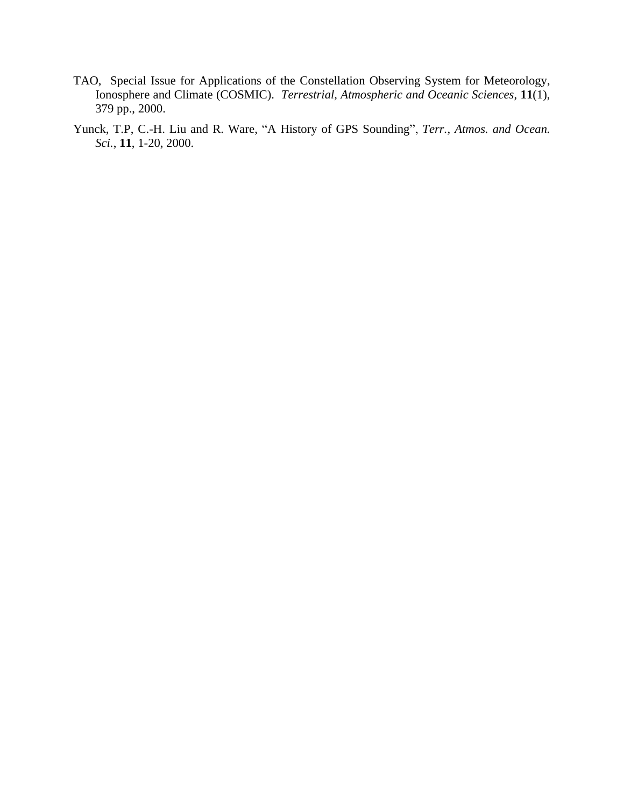- TAO, Special Issue for Applications of the Constellation Observing System for Meteorology, Ionosphere and Climate (COSMIC). *Terrestrial, Atmospheric and Oceanic Sciences*, **11**(1), 379 pp., 2000.
- Yunck, T.P, C.-H. Liu and R. Ware, "A History of GPS Sounding", *Terr., Atmos. and Ocean. Sci.*, **11**, 1-20, 2000.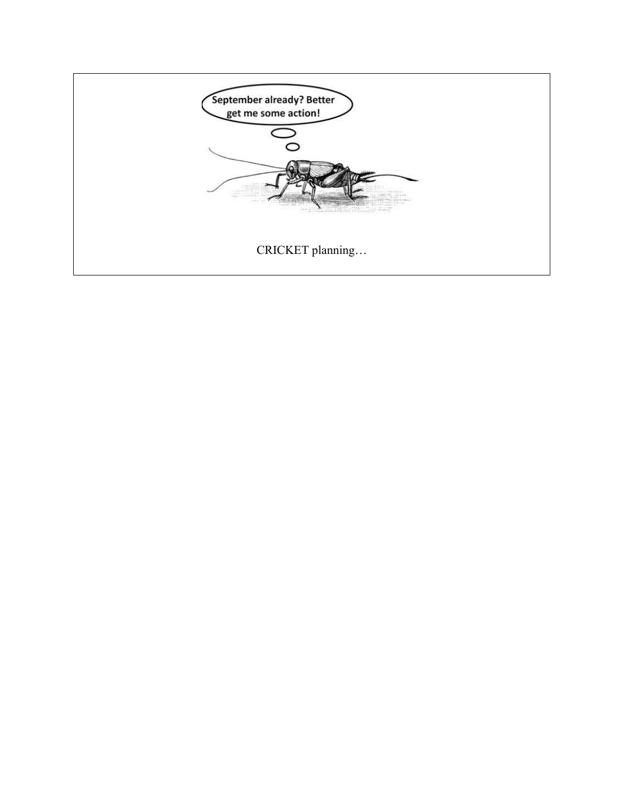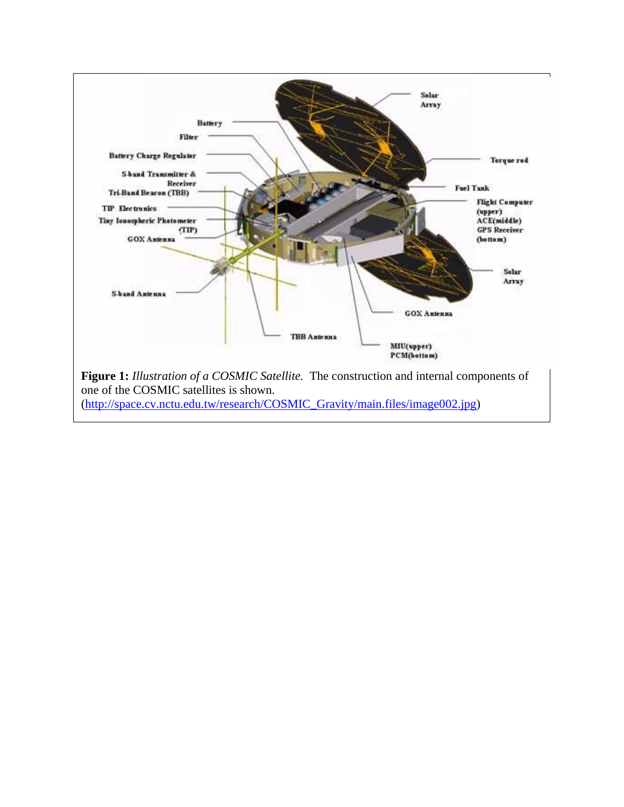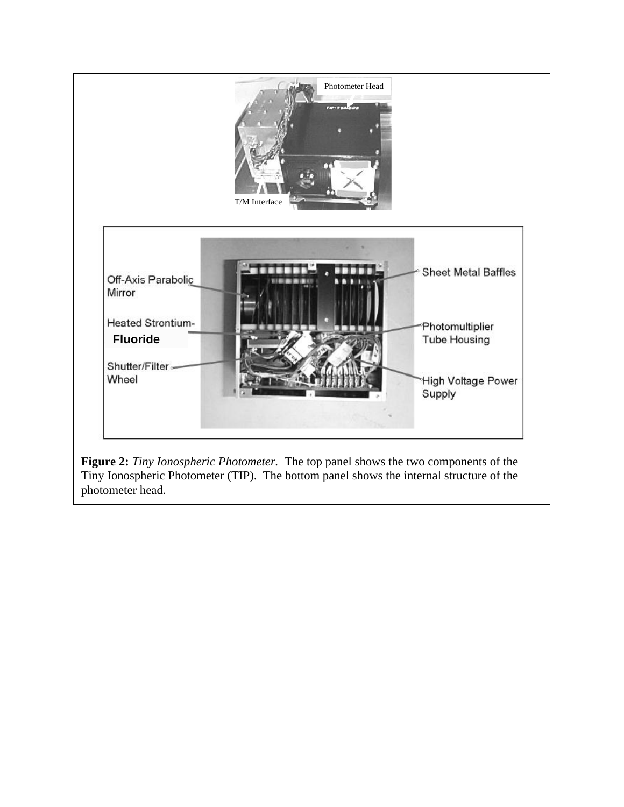

Tiny Ionospheric Photometer (TIP). The bottom panel shows the internal structure of the photometer head.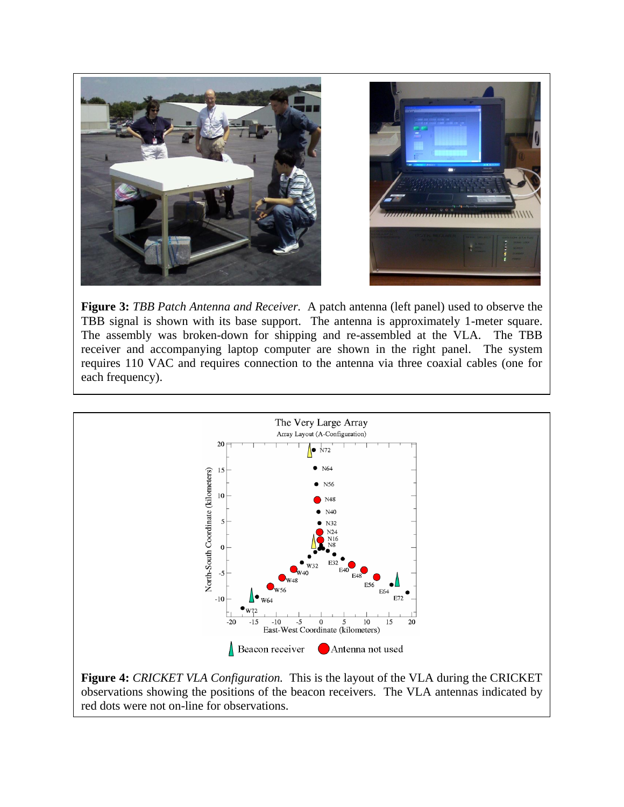

**Figure 3:** *TBB Patch Antenna and Receiver.* A patch antenna (left panel) used to observe the TBB signal is shown with its base support. The antenna is approximately 1-meter square. The assembly was broken-down for shipping and re-assembled at the VLA. The TBB receiver and accompanying laptop computer are shown in the right panel. The system requires 110 VAC and requires connection to the antenna via three coaxial cables (one for each frequency).



**Figure 4:** *CRICKET VLA Configuration.* This is the layout of the VLA during the CRICKET observations showing the positions of the beacon receivers. The VLA antennas indicated by red dots were not on-line for observations.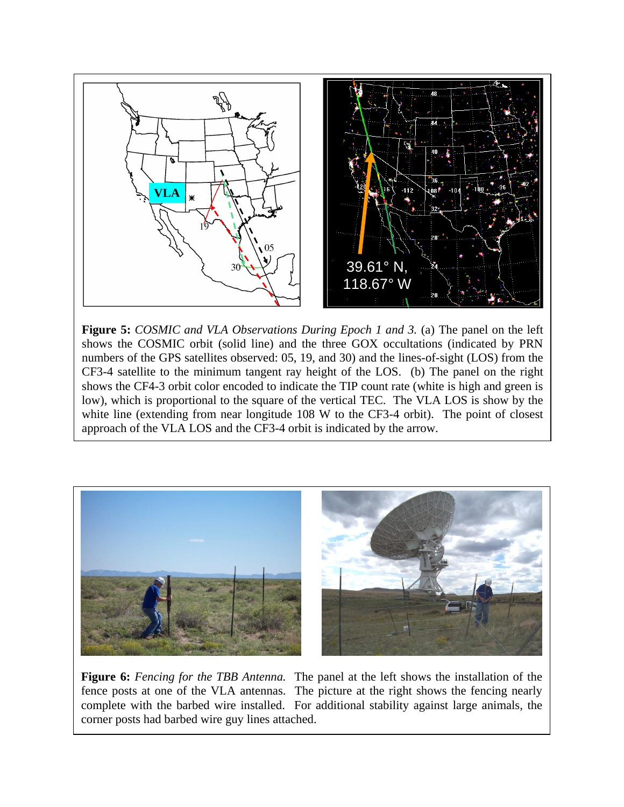

**Figure 5:** *COSMIC and VLA Observations During Epoch 1 and 3.* (a) The panel on the left shows the COSMIC orbit (solid line) and the three GOX occultations (indicated by PRN numbers of the GPS satellites observed: 05, 19, and 30) and the lines-of-sight (LOS) from the CF3-4 satellite to the minimum tangent ray height of the LOS. (b) The panel on the right shows the CF4-3 orbit color encoded to indicate the TIP count rate (white is high and green is low), which is proportional to the square of the vertical TEC. The VLA LOS is show by the white line (extending from near longitude 108 W to the CF3-4 orbit). The point of closest approach of the VLA LOS and the CF3-4 orbit is indicated by the arrow.



**Figure 6:** *Fencing for the TBB Antenna.* The panel at the left shows the installation of the fence posts at one of the VLA antennas. The picture at the right shows the fencing nearly complete with the barbed wire installed. For additional stability against large animals, the corner posts had barbed wire guy lines attached.